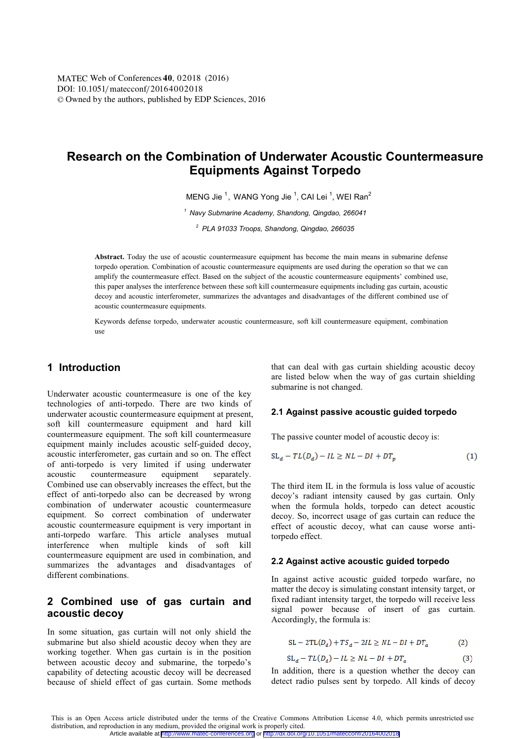# **Research on the Combination of Underwater Acoustic Countermeasure Equipments Against Torpedo**

MENG JIE , WANG Yong JIE , CAI LEI , WEI RAN<sup>-</sup>

*<sup>1</sup> Navy Submarine Academy, Shandong, Qingdao, 266041* 

*<sup>2</sup> PLA 91033 Troops, Shandong, Qingdao, 266035* 

**Abstract.** Today the use of acoustic countermeasure equipment has become the main means in submarine defense torpedo operation. Combination of acoustic countermeasure equipments are used during the operation so that we can amplify the countermeasure effect. Based on the subject of the acoustic countermeasure equipments' combined use, this paper analyses the interference between these soft kill countermeasure equipments including gas curtain, acoustic decoy and acoustic interferometer, summarizes the advantages and disadvantages of the different combined use of acoustic countermeasure equipments.

Keywords defense torpedo, underwater acoustic countermeasure, soft kill countermeasure equipment, combination use

### **1 Introduction**

Underwater acoustic countermeasure is one of the key technologies of anti-torpedo. There are two kinds of underwater acoustic countermeasure equipment at present, soft kill countermeasure equipment and hard kill countermeasure equipment. The soft kill countermeasure equipment mainly includes acoustic self-guided decoy, acoustic interferometer, gas curtain and so on. The effect of anti-torpedo is very limited if using underwater acoustic countermeasure equipment separately. Combined use can observably increases the effect, but the effect of anti-torpedo also can be decreased by wrong combination of underwater acoustic countermeasure equipment. So correct combination of underwater acoustic countermeasure equipment is very important in anti-torpedo warfare. This article analyses mutual interference when multiple kinds of soft kill countermeasure equipment are used in combination, and summarizes the advantages and disadvantages of different combinations.

# **2 Combined use of gas curtain and acoustic decoy**

In some situation, gas curtain will not only shield the submarine but also shield acoustic decoy when they are working together. When gas curtain is in the position between acoustic decoy and submarine, the torpedo's capability of detecting acoustic decoy will be decreased because of shield effect of gas curtain. Some methods

that can deal with gas curtain shielding acoustic decoy are listed below when the way of gas curtain shielding submarine is not changed.

#### **2.1 Against passive acoustic guided torpedo**

The passive counter model of acoustic decoy is:

$$
SL_d - TL(D_d) - IL \ge NL - DI + DT_p \tag{1}
$$

The third item IL in the formula is loss value of acoustic decoy's radiant intensity caused by gas curtain. Only when the formula holds, torpedo can detect acoustic decoy. So, incorrect usage of gas curtain can reduce the effect of acoustic decoy, what can cause worse antitorpedo effect.

#### **2.2 Against active acoustic guided torpedo**

In against active acoustic guided torpedo warfare, no matter the decoy is simulating constant intensity target, or fixed radiant intensity target, the torpedo will receive less signal power because of insert of gas curtain. Accordingly, the formula is:

$$
SL - 2TL(Dd) + TSd - 2IL \ge NL - DI + DTa
$$
 (2)

$$
SL_d - TL(D_d) - IL \ge NL - DI + DT_a \tag{3}
$$

In addition, there is a question whether the decoy can detect radio pulses sent by torpedo. All kinds of decoy

This is an Open Access article distributed under the terms of the Creative Commons Attribution License 4.0, which permits unrestricted use distribution, and reproduction in any medium, provided the original work is properly cited. Article available at <http://www.matec-conferences.org> or <http://dx.doi.org/10.1051/matecconf/20164002018>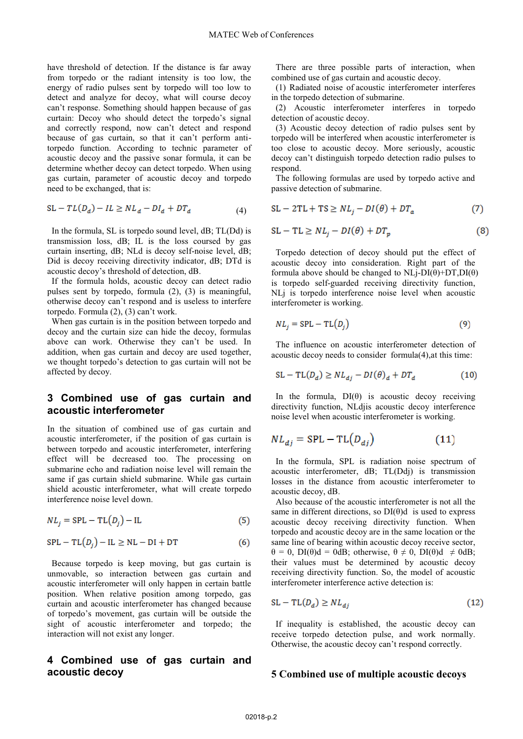have threshold of detection. If the distance is far away from torpedo or the radiant intensity is too low, the energy of radio pulses sent by torpedo will too low to detect and analyze for decoy, what will course decoy can't response. Something should happen because of gas curtain: Decoy who should detect the torpedo's signal and correctly respond, now can't detect and respond because of gas curtain, so that it can't perform antitorpedo function. According to technic parameter of acoustic decoy and the passive sonar formula, it can be determine whether decoy can detect torpedo. When using gas curtain, parameter of acoustic decoy and torpedo need to be exchanged, that is:

$$
SL - TL(Dd) - IL \ge NLd - DId + DTd
$$
\n(4)

In the formula, SL is torpedo sound level, dB; TL(Dd) is transmission loss, dB; IL is the loss coursed by gas curtain inserting, dB; NLd is decoy self-noise level, dB; Did is decoy receiving directivity indicator, dB; DTd is acoustic decoy's threshold of detection, dB.

If the formula holds, acoustic decoy can detect radio pulses sent by torpedo, formula (2), (3) is meaningful, otherwise decoy can't respond and is useless to interfere torpedo. Formula (2), (3) can't work.

When gas curtain is in the position between torpedo and decoy and the curtain size can hide the decoy, formulas above can work. Otherwise they can't be used. In addition, when gas curtain and decoy are used together, we thought torpedo's detection to gas curtain will not be affected by decoy.

## **3 Combined use of gas curtain and acoustic interferometer**

In the situation of combined use of gas curtain and acoustic interferometer, if the position of gas curtain is between torpedo and acoustic interferometer, interfering effect will be decreased too. The processing on submarine echo and radiation noise level will remain the same if gas curtain shield submarine. While gas curtain shield acoustic interferometer, what will create torpedo interference noise level down.

$$
NL_j = \text{SPL} - \text{TL}(D_j) - \text{IL} \tag{5}
$$

$$
SPL - TL(Dj) - IL \ge NL - DI + DT
$$
 (6)

Because torpedo is keep moving, but gas curtain is unmovable, so interaction between gas curtain and acoustic interferometer will only happen in certain battle position. When relative position among torpedo, gas curtain and acoustic interferometer has changed because of torpedo's movement, gas curtain will be outside the sight of acoustic interferometer and torpedo; the interaction will not exist any longer.

### **4 Combined use of gas curtain and acoustic decoy**

There are three possible parts of interaction, when combined use of gas curtain and acoustic decoy.

(1) Radiated noise of acoustic interferometer interferes in the torpedo detection of submarine.

(2) Acoustic interferometer interferes in torpedo detection of acoustic decoy.

(3) Acoustic decoy detection of radio pulses sent by torpedo will be interfered when acoustic interferometer is too close to acoustic decoy. More seriously, acoustic decoy can't distinguish torpedo detection radio pulses to respond.

The following formulas are used by torpedo active and passive detection of submarine.

$$
SL - 2TL + TS \ge NL_j - DI(\theta) + DT_a \tag{7}
$$

$$
SL - TL \ge NL_j - DI(\theta) + DT_p \tag{8}
$$

Torpedo detection of decoy should put the effect of acoustic decoy into consideration. Right part of the formula above should be changed to  $NLj-DI(\theta)+DT,DI(\theta)$ is torpedo self-guarded receiving directivity function, NLj is torpedo interference noise level when acoustic interferometer is working.

$$
NL_j = SPL - TL(D_j)
$$
\n(9)

The influence on acoustic interferometer detection of acoustic decoy needs to consider formula(4),at this time:

$$
SL - TL(Dd) \ge NLdj - DI(\theta)d + DTd
$$
 (10)

In the formula,  $DI(\theta)$  is acoustic decoy receiving directivity function, NLdjis acoustic decoy interference noise level when acoustic interferometer is working.

$$
NL_{dj} = \text{SPL} - \text{TL}(D_{dj})\tag{11}
$$

In the formula, SPL is radiation noise spectrum of acoustic interferometer, dB; TL(Ddj) is transmission losses in the distance from acoustic interferometer to acoustic decoy, dB.

Also because of the acoustic interferometer is not all the same in different directions, so  $DI(\theta)$ d is used to express acoustic decoy receiving directivity function. When torpedo and acoustic decoy are in the same location or the same line of bearing within acoustic decoy receive sector,  $\theta = 0$ , DI( $\theta$ )d = 0dB; otherwise,  $\theta \neq 0$ , DI( $\theta$ )d  $\neq$  0dB; their values must be determined by acoustic decoy receiving directivity function. So, the model of acoustic interferometer interference active detection is:

$$
SL - TL(Dd) \ge NLdj
$$
\n(12)

If inequality is established, the acoustic decoy can receive torpedo detection pulse, and work normally. Otherwise, the acoustic decoy can't respond correctly.

#### **5 Combined use of multiple acoustic decoys**